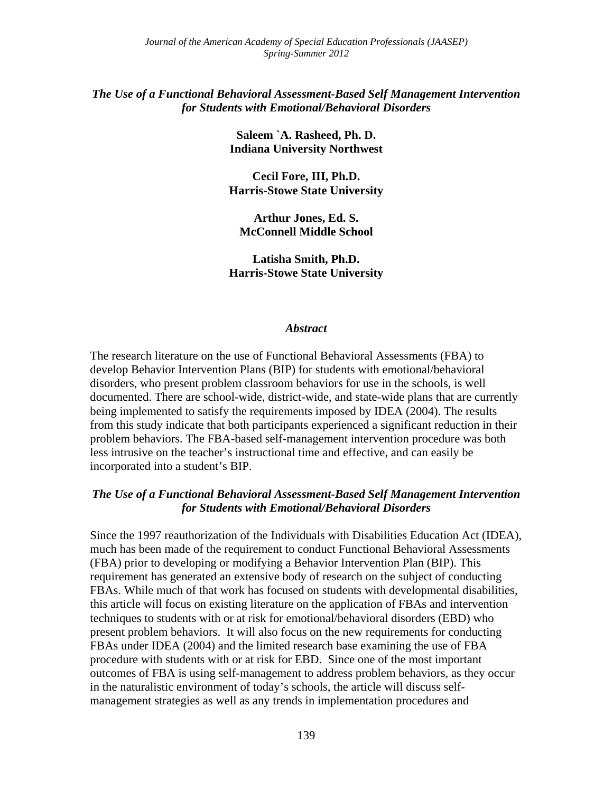#### *The Use of a Functional Behavioral Assessment-Based Self Management Intervention for Students with Emotional/Behavioral Disorders*

**Saleem `A. Rasheed, Ph. D. Indiana University Northwest** 

**Cecil Fore, III, Ph.D. Harris-Stowe State University** 

**Arthur Jones, Ed. S. McConnell Middle School** 

**Latisha Smith, Ph.D. Harris-Stowe State University** 

#### *Abstract*

The research literature on the use of Functional Behavioral Assessments (FBA) to develop Behavior Intervention Plans (BIP) for students with emotional/behavioral disorders, who present problem classroom behaviors for use in the schools, is well documented. There are school-wide, district-wide, and state-wide plans that are currently being implemented to satisfy the requirements imposed by IDEA (2004). The results from this study indicate that both participants experienced a significant reduction in their problem behaviors. The FBA-based self-management intervention procedure was both less intrusive on the teacher's instructional time and effective, and can easily be incorporated into a student's BIP.

#### *The Use of a Functional Behavioral Assessment-Based Self Management Intervention for Students with Emotional/Behavioral Disorders*

Since the 1997 reauthorization of the Individuals with Disabilities Education Act (IDEA), much has been made of the requirement to conduct Functional Behavioral Assessments (FBA) prior to developing or modifying a Behavior Intervention Plan (BIP). This requirement has generated an extensive body of research on the subject of conducting FBAs. While much of that work has focused on students with developmental disabilities, this article will focus on existing literature on the application of FBAs and intervention techniques to students with or at risk for emotional/behavioral disorders (EBD) who present problem behaviors. It will also focus on the new requirements for conducting FBAs under IDEA (2004) and the limited research base examining the use of FBA procedure with students with or at risk for EBD. Since one of the most important outcomes of FBA is using self-management to address problem behaviors, as they occur in the naturalistic environment of today's schools, the article will discuss selfmanagement strategies as well as any trends in implementation procedures and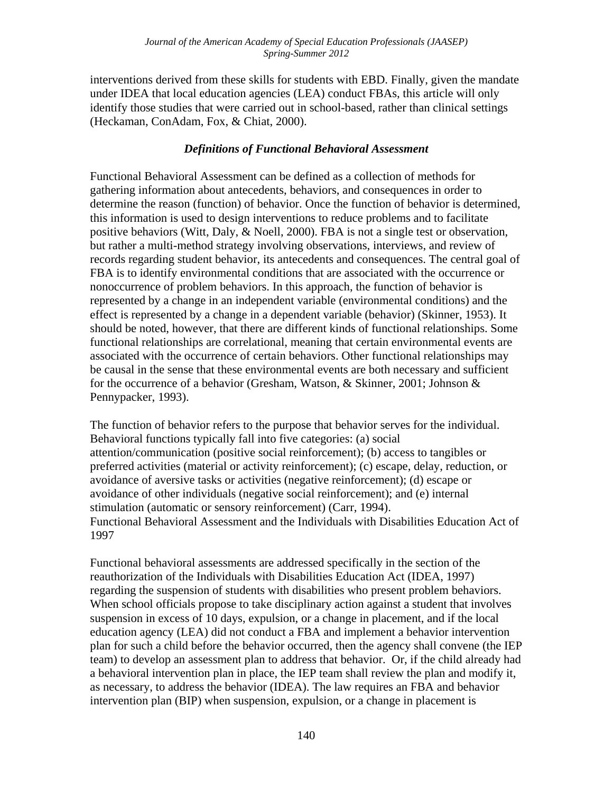interventions derived from these skills for students with EBD. Finally, given the mandate under IDEA that local education agencies (LEA) conduct FBAs, this article will only identify those studies that were carried out in school-based, rather than clinical settings (Heckaman, ConAdam, Fox, & Chiat, 2000).

#### *Definitions of Functional Behavioral Assessment*

Functional Behavioral Assessment can be defined as a collection of methods for gathering information about antecedents, behaviors, and consequences in order to determine the reason (function) of behavior. Once the function of behavior is determined, this information is used to design interventions to reduce problems and to facilitate positive behaviors (Witt, Daly, & Noell, 2000). FBA is not a single test or observation, but rather a multi-method strategy involving observations, interviews, and review of records regarding student behavior, its antecedents and consequences. The central goal of FBA is to identify environmental conditions that are associated with the occurrence or nonoccurrence of problem behaviors. In this approach, the function of behavior is represented by a change in an independent variable (environmental conditions) and the effect is represented by a change in a dependent variable (behavior) (Skinner, 1953). It should be noted, however, that there are different kinds of functional relationships. Some functional relationships are correlational, meaning that certain environmental events are associated with the occurrence of certain behaviors. Other functional relationships may be causal in the sense that these environmental events are both necessary and sufficient for the occurrence of a behavior (Gresham, Watson, & Skinner, 2001; Johnson & Pennypacker, 1993).

The function of behavior refers to the purpose that behavior serves for the individual. Behavioral functions typically fall into five categories: (a) social attention/communication (positive social reinforcement); (b) access to tangibles or preferred activities (material or activity reinforcement); (c) escape, delay, reduction, or avoidance of aversive tasks or activities (negative reinforcement); (d) escape or avoidance of other individuals (negative social reinforcement); and (e) internal stimulation (automatic or sensory reinforcement) (Carr, 1994). Functional Behavioral Assessment and the Individuals with Disabilities Education Act of 1997

Functional behavioral assessments are addressed specifically in the section of the reauthorization of the Individuals with Disabilities Education Act (IDEA, 1997) regarding the suspension of students with disabilities who present problem behaviors. When school officials propose to take disciplinary action against a student that involves suspension in excess of 10 days, expulsion, or a change in placement, and if the local education agency (LEA) did not conduct a FBA and implement a behavior intervention plan for such a child before the behavior occurred, then the agency shall convene (the IEP team) to develop an assessment plan to address that behavior. Or, if the child already had a behavioral intervention plan in place, the IEP team shall review the plan and modify it, as necessary, to address the behavior (IDEA). The law requires an FBA and behavior intervention plan (BIP) when suspension, expulsion, or a change in placement is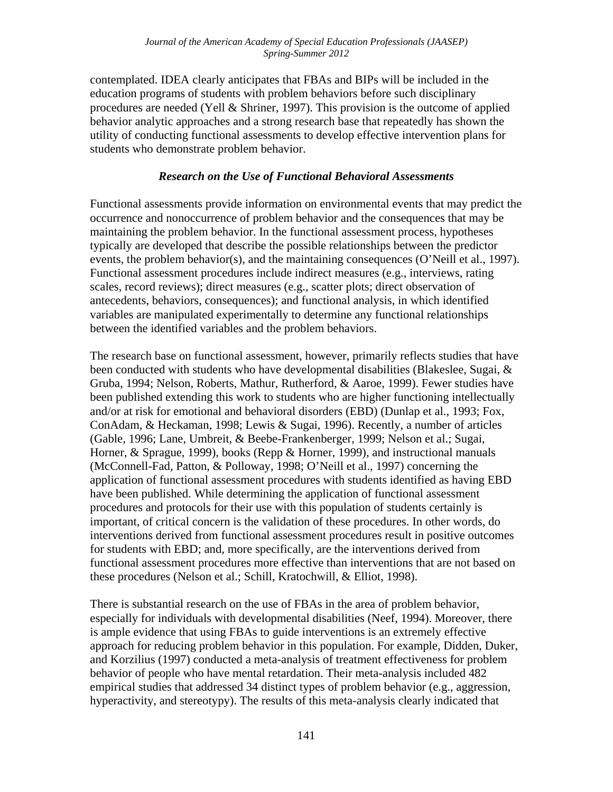contemplated. IDEA clearly anticipates that FBAs and BIPs will be included in the education programs of students with problem behaviors before such disciplinary procedures are needed (Yell & Shriner, 1997). This provision is the outcome of applied behavior analytic approaches and a strong research base that repeatedly has shown the utility of conducting functional assessments to develop effective intervention plans for students who demonstrate problem behavior.

#### *Research on the Use of Functional Behavioral Assessments*

Functional assessments provide information on environmental events that may predict the occurrence and nonoccurrence of problem behavior and the consequences that may be maintaining the problem behavior. In the functional assessment process, hypotheses typically are developed that describe the possible relationships between the predictor events, the problem behavior(s), and the maintaining consequences (O'Neill et al., 1997). Functional assessment procedures include indirect measures (e.g., interviews, rating scales, record reviews); direct measures (e.g., scatter plots; direct observation of antecedents, behaviors, consequences); and functional analysis, in which identified variables are manipulated experimentally to determine any functional relationships between the identified variables and the problem behaviors.

The research base on functional assessment, however, primarily reflects studies that have been conducted with students who have developmental disabilities (Blakeslee, Sugai, & Gruba, 1994; Nelson, Roberts, Mathur, Rutherford, & Aaroe, 1999). Fewer studies have been published extending this work to students who are higher functioning intellectually and/or at risk for emotional and behavioral disorders (EBD) (Dunlap et al., 1993; Fox, ConAdam, & Heckaman, 1998; Lewis & Sugai, 1996). Recently, a number of articles (Gable, 1996; Lane, Umbreit, & Beebe-Frankenberger, 1999; Nelson et al.; Sugai, Horner, & Sprague, 1999), books (Repp & Horner, 1999), and instructional manuals (McConnell-Fad, Patton, & Polloway, 1998; O'Neill et al., 1997) concerning the application of functional assessment procedures with students identified as having EBD have been published. While determining the application of functional assessment procedures and protocols for their use with this population of students certainly is important, of critical concern is the validation of these procedures. In other words, do interventions derived from functional assessment procedures result in positive outcomes for students with EBD; and, more specifically, are the interventions derived from functional assessment procedures more effective than interventions that are not based on these procedures (Nelson et al.; Schill, Kratochwill, & Elliot, 1998).

There is substantial research on the use of FBAs in the area of problem behavior, especially for individuals with developmental disabilities (Neef, 1994). Moreover, there is ample evidence that using FBAs to guide interventions is an extremely effective approach for reducing problem behavior in this population. For example, Didden, Duker, and Korzilius (1997) conducted a meta-analysis of treatment effectiveness for problem behavior of people who have mental retardation. Their meta-analysis included 482 empirical studies that addressed 34 distinct types of problem behavior (e.g., aggression, hyperactivity, and stereotypy). The results of this meta-analysis clearly indicated that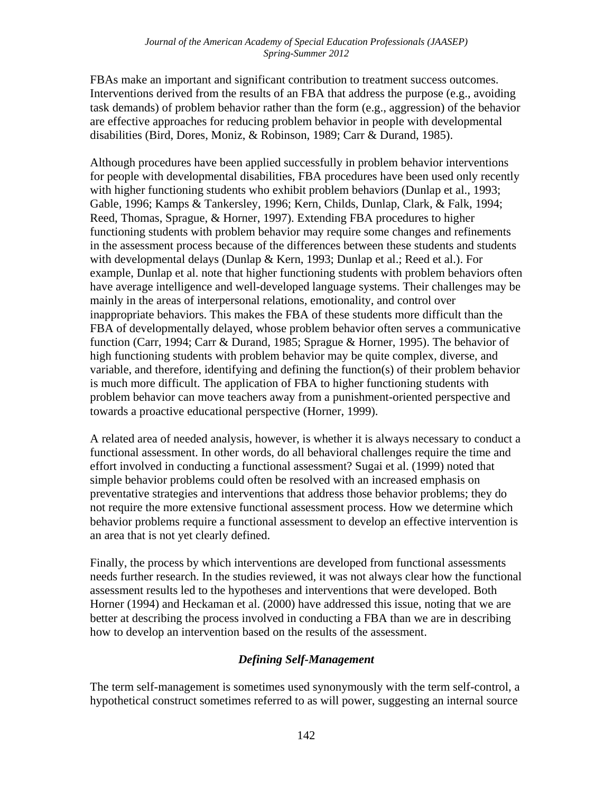FBAs make an important and significant contribution to treatment success outcomes. Interventions derived from the results of an FBA that address the purpose (e.g., avoiding task demands) of problem behavior rather than the form (e.g., aggression) of the behavior are effective approaches for reducing problem behavior in people with developmental disabilities (Bird, Dores, Moniz, & Robinson, 1989; Carr & Durand, 1985).

Although procedures have been applied successfully in problem behavior interventions for people with developmental disabilities, FBA procedures have been used only recently with higher functioning students who exhibit problem behaviors (Dunlap et al., 1993; Gable, 1996; Kamps & Tankersley, 1996; Kern, Childs, Dunlap, Clark, & Falk, 1994; Reed, Thomas, Sprague, & Horner, 1997). Extending FBA procedures to higher functioning students with problem behavior may require some changes and refinements in the assessment process because of the differences between these students and students with developmental delays (Dunlap & Kern, 1993; Dunlap et al.; Reed et al.). For example, Dunlap et al. note that higher functioning students with problem behaviors often have average intelligence and well-developed language systems. Their challenges may be mainly in the areas of interpersonal relations, emotionality, and control over inappropriate behaviors. This makes the FBA of these students more difficult than the FBA of developmentally delayed, whose problem behavior often serves a communicative function (Carr, 1994; Carr & Durand, 1985; Sprague & Horner, 1995). The behavior of high functioning students with problem behavior may be quite complex, diverse, and variable, and therefore, identifying and defining the function(s) of their problem behavior is much more difficult. The application of FBA to higher functioning students with problem behavior can move teachers away from a punishment-oriented perspective and towards a proactive educational perspective (Horner, 1999).

A related area of needed analysis, however, is whether it is always necessary to conduct a functional assessment. In other words, do all behavioral challenges require the time and effort involved in conducting a functional assessment? Sugai et al. (1999) noted that simple behavior problems could often be resolved with an increased emphasis on preventative strategies and interventions that address those behavior problems; they do not require the more extensive functional assessment process. How we determine which behavior problems require a functional assessment to develop an effective intervention is an area that is not yet clearly defined.

Finally, the process by which interventions are developed from functional assessments needs further research. In the studies reviewed, it was not always clear how the functional assessment results led to the hypotheses and interventions that were developed. Both Horner (1994) and Heckaman et al. (2000) have addressed this issue, noting that we are better at describing the process involved in conducting a FBA than we are in describing how to develop an intervention based on the results of the assessment.

## *Defining Self-Management*

The term self-management is sometimes used synonymously with the term self-control, a hypothetical construct sometimes referred to as will power, suggesting an internal source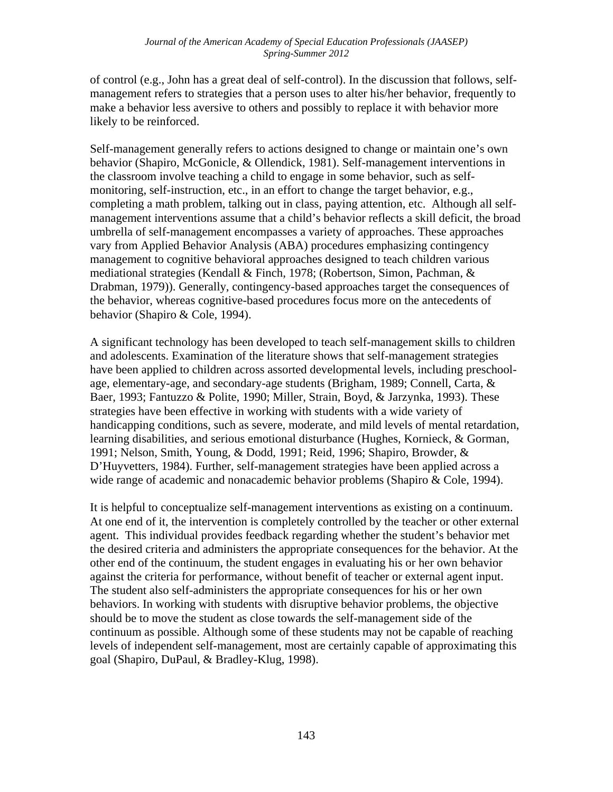of control (e.g., John has a great deal of self-control). In the discussion that follows, selfmanagement refers to strategies that a person uses to alter his/her behavior, frequently to make a behavior less aversive to others and possibly to replace it with behavior more likely to be reinforced.

Self-management generally refers to actions designed to change or maintain one's own behavior (Shapiro, McGonicle, & Ollendick, 1981). Self-management interventions in the classroom involve teaching a child to engage in some behavior, such as selfmonitoring, self-instruction, etc., in an effort to change the target behavior, e.g., completing a math problem, talking out in class, paying attention, etc. Although all selfmanagement interventions assume that a child's behavior reflects a skill deficit, the broad umbrella of self-management encompasses a variety of approaches. These approaches vary from Applied Behavior Analysis (ABA) procedures emphasizing contingency management to cognitive behavioral approaches designed to teach children various mediational strategies (Kendall & Finch, 1978; (Robertson, Simon, Pachman, & Drabman, 1979)). Generally, contingency-based approaches target the consequences of the behavior, whereas cognitive-based procedures focus more on the antecedents of behavior (Shapiro & Cole, 1994).

A significant technology has been developed to teach self-management skills to children and adolescents. Examination of the literature shows that self-management strategies have been applied to children across assorted developmental levels, including preschoolage, elementary-age, and secondary-age students (Brigham, 1989; Connell, Carta, & Baer, 1993; Fantuzzo & Polite, 1990; Miller, Strain, Boyd, & Jarzynka, 1993). These strategies have been effective in working with students with a wide variety of handicapping conditions, such as severe, moderate, and mild levels of mental retardation, learning disabilities, and serious emotional disturbance (Hughes, Kornieck, & Gorman, 1991; Nelson, Smith, Young, & Dodd, 1991; Reid, 1996; Shapiro, Browder, & D'Huyvetters, 1984). Further, self-management strategies have been applied across a wide range of academic and nonacademic behavior problems (Shapiro & Cole, 1994).

It is helpful to conceptualize self-management interventions as existing on a continuum. At one end of it, the intervention is completely controlled by the teacher or other external agent. This individual provides feedback regarding whether the student's behavior met the desired criteria and administers the appropriate consequences for the behavior. At the other end of the continuum, the student engages in evaluating his or her own behavior against the criteria for performance, without benefit of teacher or external agent input. The student also self-administers the appropriate consequences for his or her own behaviors. In working with students with disruptive behavior problems, the objective should be to move the student as close towards the self-management side of the continuum as possible. Although some of these students may not be capable of reaching levels of independent self-management, most are certainly capable of approximating this goal (Shapiro, DuPaul, & Bradley-Klug, 1998).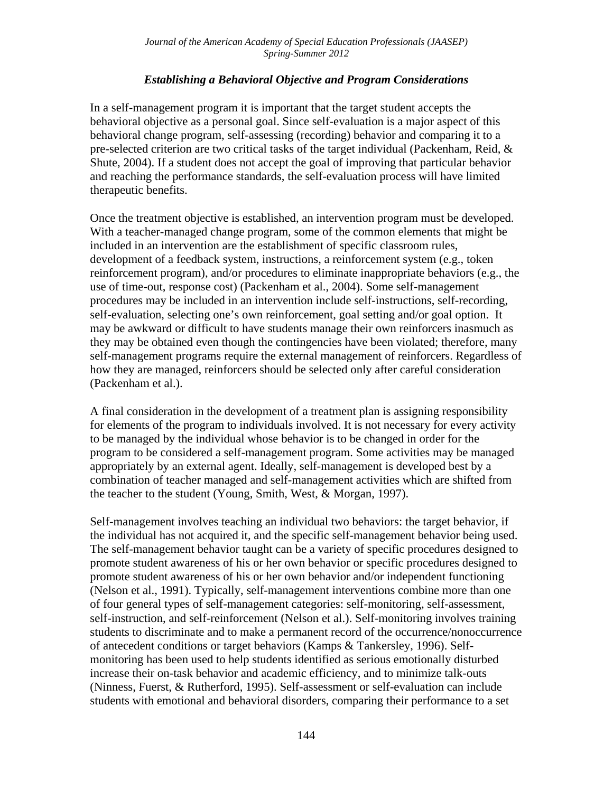### *Establishing a Behavioral Objective and Program Considerations*

In a self-management program it is important that the target student accepts the behavioral objective as a personal goal. Since self-evaluation is a major aspect of this behavioral change program, self-assessing (recording) behavior and comparing it to a pre-selected criterion are two critical tasks of the target individual (Packenham, Reid, & Shute, 2004). If a student does not accept the goal of improving that particular behavior and reaching the performance standards, the self-evaluation process will have limited therapeutic benefits.

Once the treatment objective is established, an intervention program must be developed. With a teacher-managed change program, some of the common elements that might be included in an intervention are the establishment of specific classroom rules, development of a feedback system, instructions, a reinforcement system (e.g., token reinforcement program), and/or procedures to eliminate inappropriate behaviors (e.g., the use of time-out, response cost) (Packenham et al., 2004). Some self-management procedures may be included in an intervention include self-instructions, self-recording, self-evaluation, selecting one's own reinforcement, goal setting and/or goal option. It may be awkward or difficult to have students manage their own reinforcers inasmuch as they may be obtained even though the contingencies have been violated; therefore, many self-management programs require the external management of reinforcers. Regardless of how they are managed, reinforcers should be selected only after careful consideration (Packenham et al.).

A final consideration in the development of a treatment plan is assigning responsibility for elements of the program to individuals involved. It is not necessary for every activity to be managed by the individual whose behavior is to be changed in order for the program to be considered a self-management program. Some activities may be managed appropriately by an external agent. Ideally, self-management is developed best by a combination of teacher managed and self-management activities which are shifted from the teacher to the student (Young, Smith, West, & Morgan, 1997).

Self-management involves teaching an individual two behaviors: the target behavior, if the individual has not acquired it, and the specific self-management behavior being used. The self-management behavior taught can be a variety of specific procedures designed to promote student awareness of his or her own behavior or specific procedures designed to promote student awareness of his or her own behavior and/or independent functioning (Nelson et al., 1991). Typically, self-management interventions combine more than one of four general types of self-management categories: self-monitoring, self-assessment, self-instruction, and self-reinforcement (Nelson et al.). Self-monitoring involves training students to discriminate and to make a permanent record of the occurrence/nonoccurrence of antecedent conditions or target behaviors (Kamps & Tankersley, 1996). Selfmonitoring has been used to help students identified as serious emotionally disturbed increase their on-task behavior and academic efficiency, and to minimize talk-outs (Ninness, Fuerst, & Rutherford, 1995). Self-assessment or self-evaluation can include students with emotional and behavioral disorders, comparing their performance to a set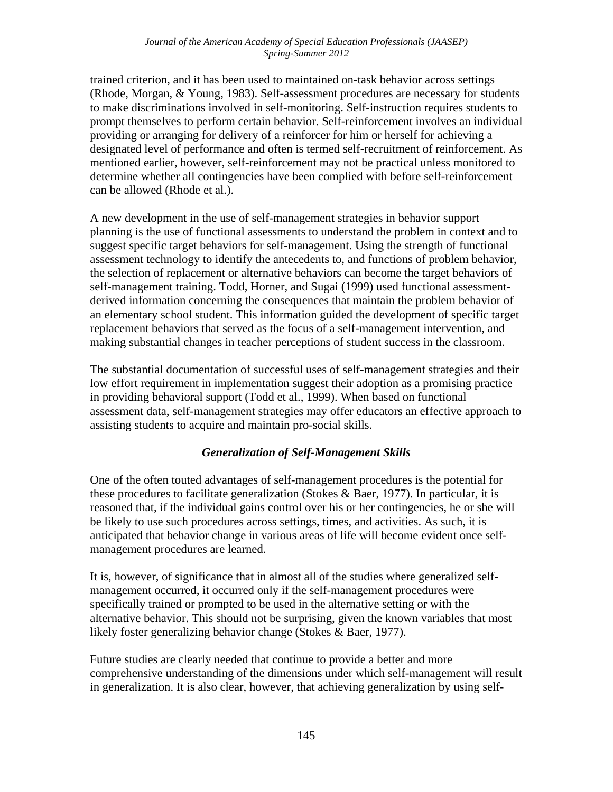trained criterion, and it has been used to maintained on-task behavior across settings (Rhode, Morgan, & Young, 1983). Self-assessment procedures are necessary for students to make discriminations involved in self-monitoring. Self-instruction requires students to prompt themselves to perform certain behavior. Self-reinforcement involves an individual providing or arranging for delivery of a reinforcer for him or herself for achieving a designated level of performance and often is termed self-recruitment of reinforcement. As mentioned earlier, however, self-reinforcement may not be practical unless monitored to determine whether all contingencies have been complied with before self-reinforcement can be allowed (Rhode et al.).

A new development in the use of self-management strategies in behavior support planning is the use of functional assessments to understand the problem in context and to suggest specific target behaviors for self-management. Using the strength of functional assessment technology to identify the antecedents to, and functions of problem behavior, the selection of replacement or alternative behaviors can become the target behaviors of self-management training. Todd, Horner, and Sugai (1999) used functional assessmentderived information concerning the consequences that maintain the problem behavior of an elementary school student. This information guided the development of specific target replacement behaviors that served as the focus of a self-management intervention, and making substantial changes in teacher perceptions of student success in the classroom.

The substantial documentation of successful uses of self-management strategies and their low effort requirement in implementation suggest their adoption as a promising practice in providing behavioral support (Todd et al., 1999). When based on functional assessment data, self-management strategies may offer educators an effective approach to assisting students to acquire and maintain pro-social skills.

## *Generalization of Self-Management Skills*

One of the often touted advantages of self-management procedures is the potential for these procedures to facilitate generalization (Stokes & Baer, 1977). In particular, it is reasoned that, if the individual gains control over his or her contingencies, he or she will be likely to use such procedures across settings, times, and activities. As such, it is anticipated that behavior change in various areas of life will become evident once selfmanagement procedures are learned.

It is, however, of significance that in almost all of the studies where generalized selfmanagement occurred, it occurred only if the self-management procedures were specifically trained or prompted to be used in the alternative setting or with the alternative behavior. This should not be surprising, given the known variables that most likely foster generalizing behavior change (Stokes & Baer, 1977).

Future studies are clearly needed that continue to provide a better and more comprehensive understanding of the dimensions under which self-management will result in generalization. It is also clear, however, that achieving generalization by using self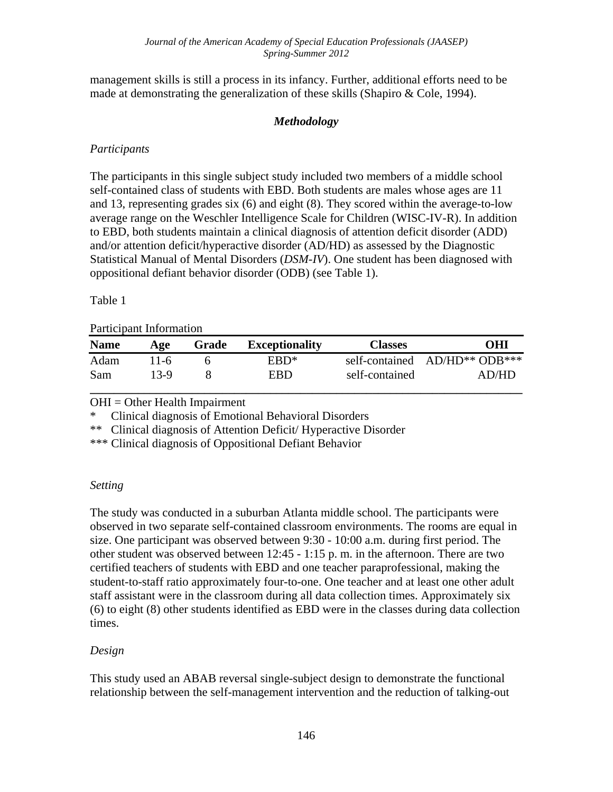management skills is still a process in its infancy. Further, additional efforts need to be made at demonstrating the generalization of these skills (Shapiro & Cole, 1994).

## *Methodology*

# *Participants*

The participants in this single subject study included two members of a middle school self-contained class of students with EBD. Both students are males whose ages are 11 and 13, representing grades six (6) and eight (8). They scored within the average-to-low average range on the Weschler Intelligence Scale for Children (WISC-IV-R). In addition to EBD, both students maintain a clinical diagnosis of attention deficit disorder (ADD) and/or attention deficit/hyperactive disorder (AD/HD) as assessed by the Diagnostic Statistical Manual of Mental Disorders (*DSM-IV*). One student has been diagnosed with oppositional defiant behavior disorder (ODB) (see Table 1).

#### Table 1

#### Participant Information

| <b>Name</b> | Age          | Grade | <b>Exceptionality</b> | <b>Classes</b> | OHI                                    |
|-------------|--------------|-------|-----------------------|----------------|----------------------------------------|
| Adam<br>Sam | 11-6<br>13-9 |       | ERD*<br>EBD           | self-contained | self-contained AD/HD** ODB***<br>AD/HD |
|             |              |       |                       |                |                                        |

OHI = Other Health Impairment

\* Clinical diagnosis of Emotional Behavioral Disorders

\*\* Clinical diagnosis of Attention Deficit/ Hyperactive Disorder

\*\*\* Clinical diagnosis of Oppositional Defiant Behavior

## *Setting*

The study was conducted in a suburban Atlanta middle school. The participants were observed in two separate self-contained classroom environments. The rooms are equal in size. One participant was observed between 9:30 - 10:00 a.m. during first period. The other student was observed between 12:45 - 1:15 p. m. in the afternoon. There are two certified teachers of students with EBD and one teacher paraprofessional, making the student-to-staff ratio approximately four-to-one. One teacher and at least one other adult staff assistant were in the classroom during all data collection times. Approximately six (6) to eight (8) other students identified as EBD were in the classes during data collection times.

## *Design*

This study used an ABAB reversal single-subject design to demonstrate the functional relationship between the self-management intervention and the reduction of talking-out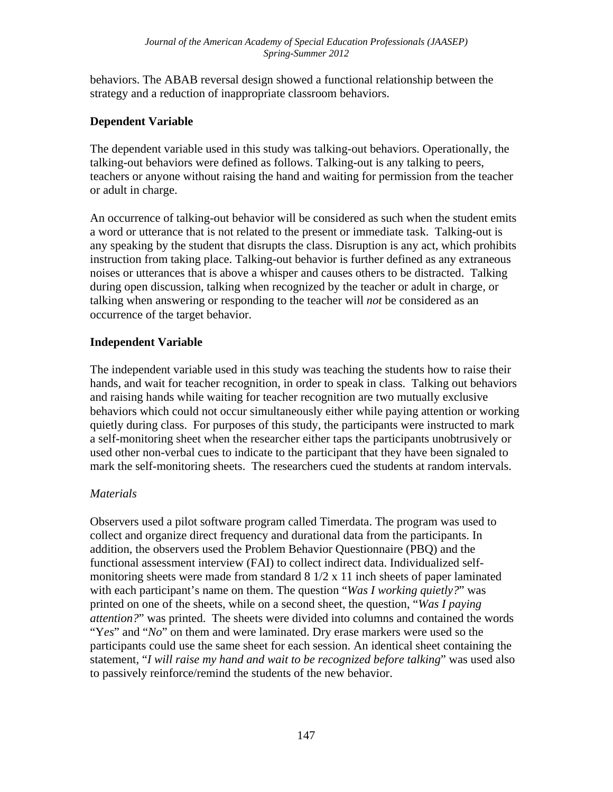behaviors. The ABAB reversal design showed a functional relationship between the strategy and a reduction of inappropriate classroom behaviors.

## **Dependent Variable**

The dependent variable used in this study was talking-out behaviors. Operationally, the talking-out behaviors were defined as follows. Talking-out is any talking to peers, teachers or anyone without raising the hand and waiting for permission from the teacher or adult in charge.

An occurrence of talking-out behavior will be considered as such when the student emits a word or utterance that is not related to the present or immediate task. Talking-out is any speaking by the student that disrupts the class. Disruption is any act, which prohibits instruction from taking place. Talking-out behavior is further defined as any extraneous noises or utterances that is above a whisper and causes others to be distracted. Talking during open discussion, talking when recognized by the teacher or adult in charge, or talking when answering or responding to the teacher will *not* be considered as an occurrence of the target behavior.

## **Independent Variable**

The independent variable used in this study was teaching the students how to raise their hands, and wait for teacher recognition, in order to speak in class. Talking out behaviors and raising hands while waiting for teacher recognition are two mutually exclusive behaviors which could not occur simultaneously either while paying attention or working quietly during class. For purposes of this study, the participants were instructed to mark a self-monitoring sheet when the researcher either taps the participants unobtrusively or used other non-verbal cues to indicate to the participant that they have been signaled to mark the self-monitoring sheets. The researchers cued the students at random intervals.

## *Materials*

Observers used a pilot software program called Timerdata. The program was used to collect and organize direct frequency and durational data from the participants. In addition, the observers used the Problem Behavior Questionnaire (PBQ) and the functional assessment interview (FAI) to collect indirect data. Individualized selfmonitoring sheets were made from standard 8 1/2 x 11 inch sheets of paper laminated with each participant's name on them. The question "*Was I working quietly?*" was printed on one of the sheets, while on a second sheet, the question, "*Was I paying attention?*" was printed. The sheets were divided into columns and contained the words "Y*es*" and "*No*" on them and were laminated. Dry erase markers were used so the participants could use the same sheet for each session. An identical sheet containing the statement, "*I will raise my hand and wait to be recognized before talking*" was used also to passively reinforce/remind the students of the new behavior.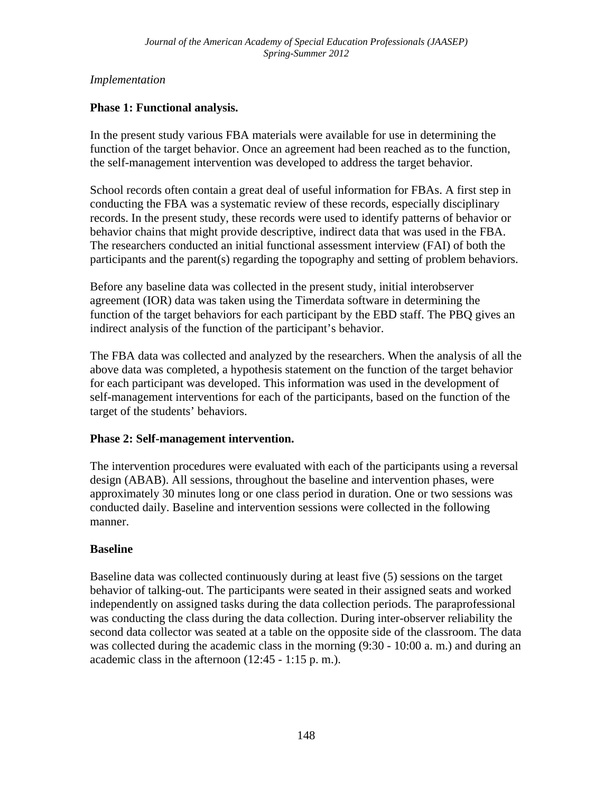## *Implementation*

### **Phase 1: Functional analysis.**

In the present study various FBA materials were available for use in determining the function of the target behavior. Once an agreement had been reached as to the function, the self-management intervention was developed to address the target behavior.

School records often contain a great deal of useful information for FBAs. A first step in conducting the FBA was a systematic review of these records, especially disciplinary records. In the present study, these records were used to identify patterns of behavior or behavior chains that might provide descriptive, indirect data that was used in the FBA. The researchers conducted an initial functional assessment interview (FAI) of both the participants and the parent(s) regarding the topography and setting of problem behaviors.

Before any baseline data was collected in the present study, initial interobserver agreement (IOR) data was taken using the Timerdata software in determining the function of the target behaviors for each participant by the EBD staff. The PBQ gives an indirect analysis of the function of the participant's behavior.

The FBA data was collected and analyzed by the researchers. When the analysis of all the above data was completed, a hypothesis statement on the function of the target behavior for each participant was developed. This information was used in the development of self-management interventions for each of the participants, based on the function of the target of the students' behaviors.

#### **Phase 2: Self-management intervention.**

The intervention procedures were evaluated with each of the participants using a reversal design (ABAB). All sessions, throughout the baseline and intervention phases, were approximately 30 minutes long or one class period in duration. One or two sessions was conducted daily. Baseline and intervention sessions were collected in the following manner.

#### **Baseline**

Baseline data was collected continuously during at least five (5) sessions on the target behavior of talking-out. The participants were seated in their assigned seats and worked independently on assigned tasks during the data collection periods. The paraprofessional was conducting the class during the data collection. During inter-observer reliability the second data collector was seated at a table on the opposite side of the classroom. The data was collected during the academic class in the morning (9:30 - 10:00 a. m.) and during an academic class in the afternoon (12:45 - 1:15 p. m.).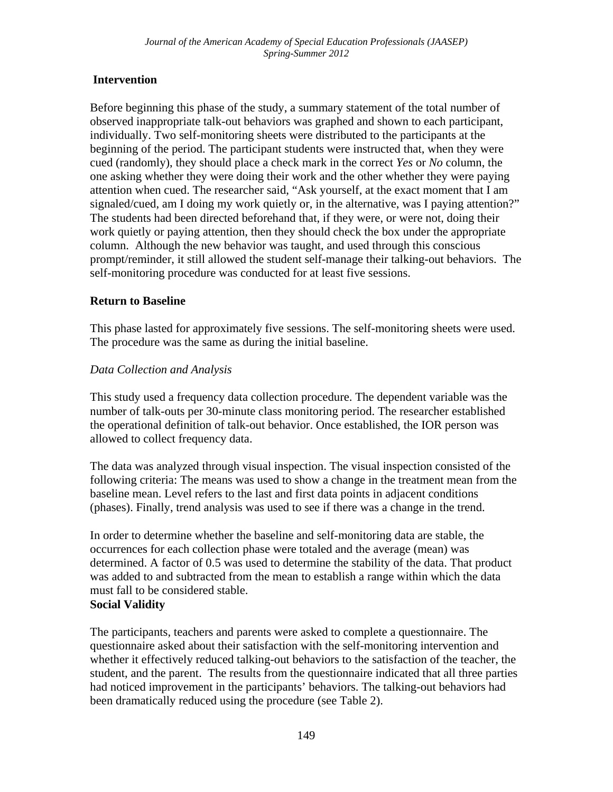## **Intervention**

Before beginning this phase of the study, a summary statement of the total number of observed inappropriate talk-out behaviors was graphed and shown to each participant, individually. Two self-monitoring sheets were distributed to the participants at the beginning of the period. The participant students were instructed that, when they were cued (randomly), they should place a check mark in the correct *Yes* or *No* column, the one asking whether they were doing their work and the other whether they were paying attention when cued. The researcher said, "Ask yourself, at the exact moment that I am signaled/cued, am I doing my work quietly or, in the alternative, was I paying attention?" The students had been directed beforehand that, if they were, or were not, doing their work quietly or paying attention, then they should check the box under the appropriate column. Although the new behavior was taught, and used through this conscious prompt/reminder, it still allowed the student self-manage their talking-out behaviors. The self-monitoring procedure was conducted for at least five sessions.

## **Return to Baseline**

This phase lasted for approximately five sessions. The self-monitoring sheets were used. The procedure was the same as during the initial baseline.

## *Data Collection and Analysis*

This study used a frequency data collection procedure. The dependent variable was the number of talk-outs per 30-minute class monitoring period. The researcher established the operational definition of talk-out behavior. Once established, the IOR person was allowed to collect frequency data.

The data was analyzed through visual inspection. The visual inspection consisted of the following criteria: The means was used to show a change in the treatment mean from the baseline mean. Level refers to the last and first data points in adjacent conditions (phases). Finally, trend analysis was used to see if there was a change in the trend.

In order to determine whether the baseline and self-monitoring data are stable, the occurrences for each collection phase were totaled and the average (mean) was determined. A factor of 0.5 was used to determine the stability of the data. That product was added to and subtracted from the mean to establish a range within which the data must fall to be considered stable. **Social Validity** 

The participants, teachers and parents were asked to complete a questionnaire. The questionnaire asked about their satisfaction with the self-monitoring intervention and whether it effectively reduced talking-out behaviors to the satisfaction of the teacher, the student, and the parent. The results from the questionnaire indicated that all three parties had noticed improvement in the participants' behaviors. The talking-out behaviors had been dramatically reduced using the procedure (see Table 2).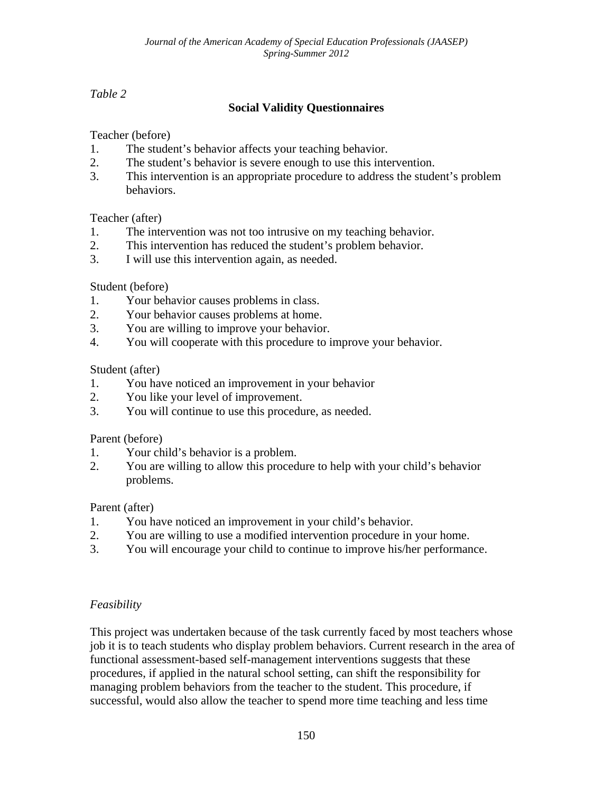# *Table 2*

# **Social Validity Questionnaires**

Teacher (before)

- 1. The student's behavior affects your teaching behavior.
- 2. The student's behavior is severe enough to use this intervention.
- 3. This intervention is an appropriate procedure to address the student's problem behaviors.

## Teacher (after)

- 1. The intervention was not too intrusive on my teaching behavior.
- 2. This intervention has reduced the student's problem behavior.
- 3. I will use this intervention again, as needed.

## Student (before)

- 1. Your behavior causes problems in class.
- 2. Your behavior causes problems at home.
- 3. You are willing to improve your behavior.
- 4. You will cooperate with this procedure to improve your behavior.

## Student (after)

- 1. You have noticed an improvement in your behavior
- 2. You like your level of improvement.
- 3. You will continue to use this procedure, as needed.

#### Parent (before)

- 1. Your child's behavior is a problem.
- 2. You are willing to allow this procedure to help with your child's behavior problems.

## Parent (after)

- 1. You have noticed an improvement in your child's behavior.
- 2. You are willing to use a modified intervention procedure in your home.
- 3. You will encourage your child to continue to improve his/her performance.

## *Feasibility*

This project was undertaken because of the task currently faced by most teachers whose job it is to teach students who display problem behaviors. Current research in the area of functional assessment-based self-management interventions suggests that these procedures, if applied in the natural school setting, can shift the responsibility for managing problem behaviors from the teacher to the student. This procedure, if successful, would also allow the teacher to spend more time teaching and less time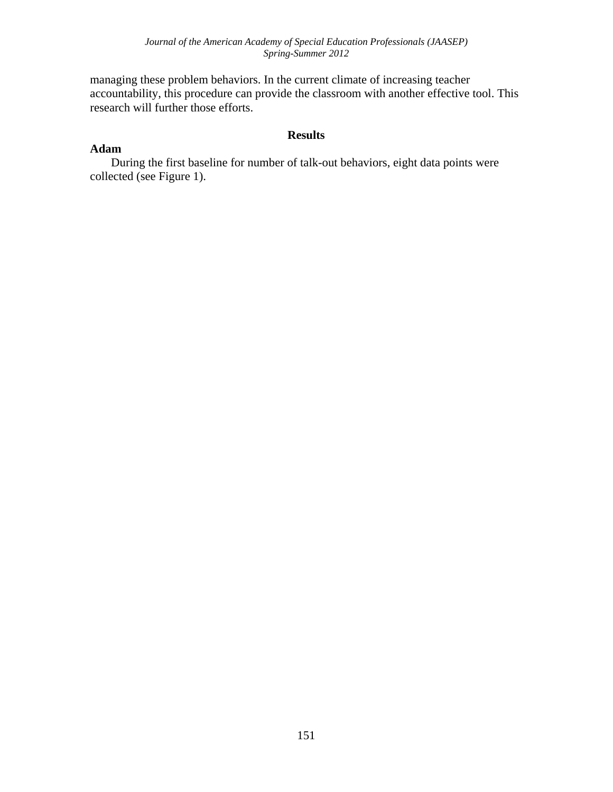managing these problem behaviors. In the current climate of increasing teacher accountability, this procedure can provide the classroom with another effective tool. This research will further those efforts.

#### **Results**

#### **Adam**

 During the first baseline for number of talk-out behaviors, eight data points were collected (see Figure 1).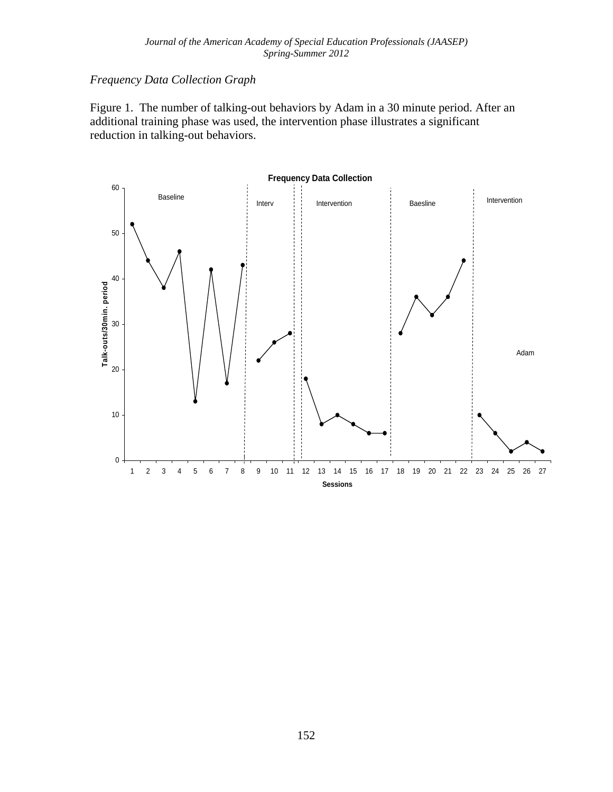## *Frequency Data Collection Graph*

Figure 1. The number of talking-out behaviors by Adam in a 30 minute period. After an additional training phase was used, the intervention phase illustrates a significant reduction in talking-out behaviors.

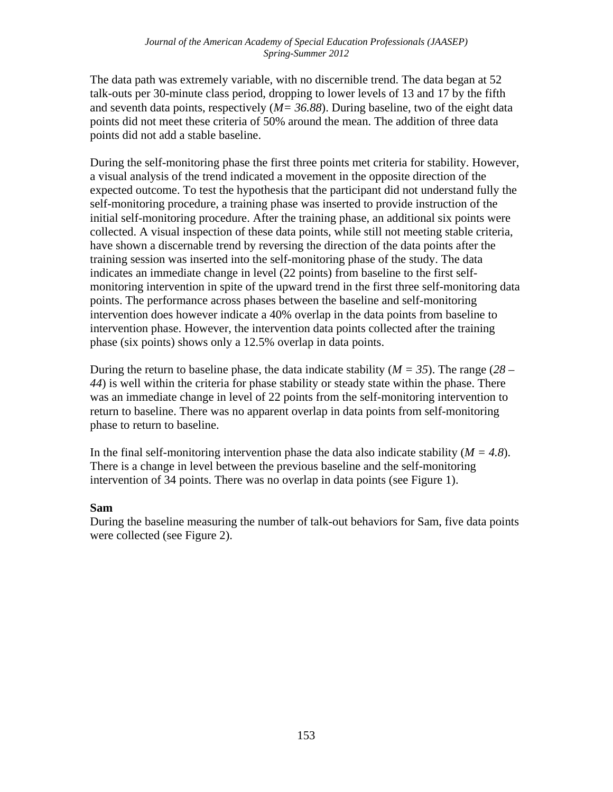The data path was extremely variable, with no discernible trend. The data began at 52 talk-outs per 30-minute class period, dropping to lower levels of 13 and 17 by the fifth and seventh data points, respectively (*M= 36.88*). During baseline, two of the eight data points did not meet these criteria of 50% around the mean. The addition of three data points did not add a stable baseline.

During the self-monitoring phase the first three points met criteria for stability. However, a visual analysis of the trend indicated a movement in the opposite direction of the expected outcome. To test the hypothesis that the participant did not understand fully the self-monitoring procedure, a training phase was inserted to provide instruction of the initial self-monitoring procedure. After the training phase, an additional six points were collected. A visual inspection of these data points, while still not meeting stable criteria, have shown a discernable trend by reversing the direction of the data points after the training session was inserted into the self-monitoring phase of the study. The data indicates an immediate change in level (22 points) from baseline to the first selfmonitoring intervention in spite of the upward trend in the first three self-monitoring data points. The performance across phases between the baseline and self-monitoring intervention does however indicate a 40% overlap in the data points from baseline to intervention phase. However, the intervention data points collected after the training phase (six points) shows only a 12.5% overlap in data points.

During the return to baseline phase, the data indicate stability (*M = 35*). The range (*28 – 44*) is well within the criteria for phase stability or steady state within the phase. There was an immediate change in level of 22 points from the self-monitoring intervention to return to baseline. There was no apparent overlap in data points from self-monitoring phase to return to baseline.

In the final self-monitoring intervention phase the data also indicate stability (*M = 4.8*). There is a change in level between the previous baseline and the self-monitoring intervention of 34 points. There was no overlap in data points (see Figure 1).

#### **Sam**

During the baseline measuring the number of talk-out behaviors for Sam, five data points were collected (see Figure 2).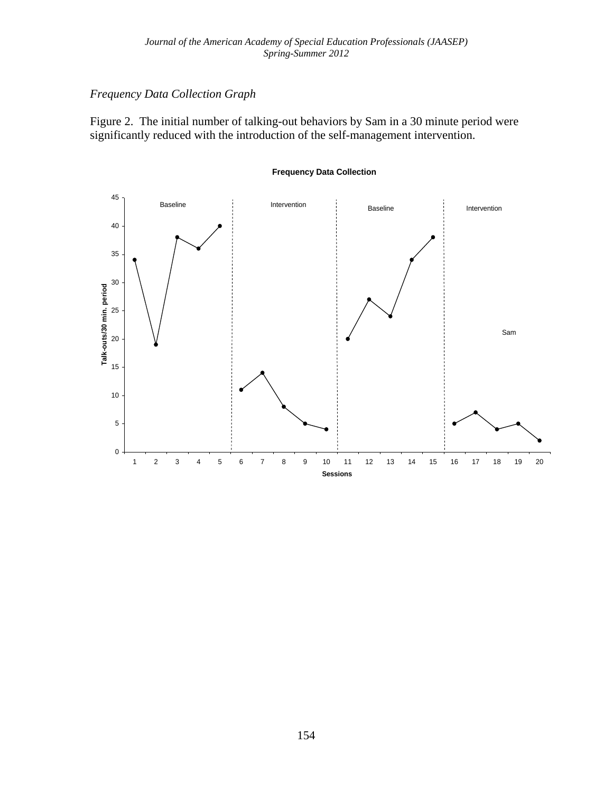### *Frequency Data Collection Graph*

Figure 2. The initial number of talking-out behaviors by Sam in a 30 minute period were significantly reduced with the introduction of the self-management intervention.



#### **Frequency Data Collection**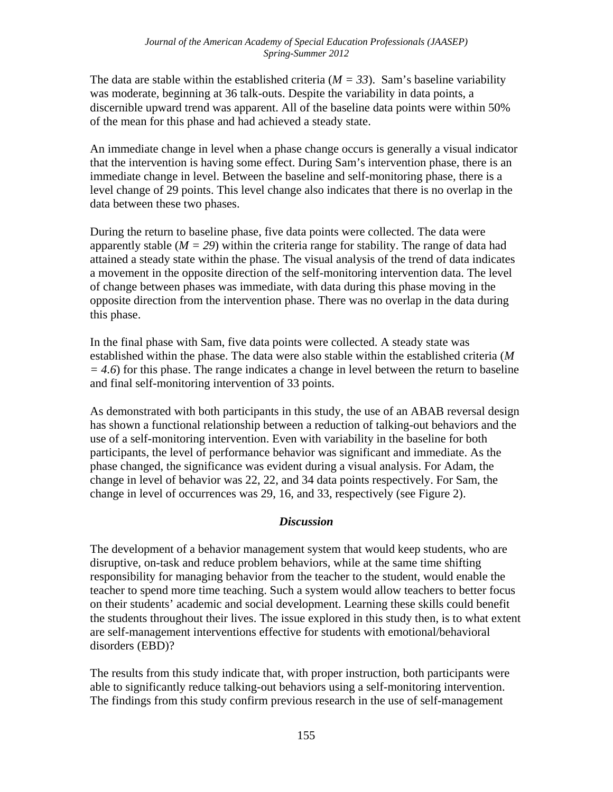The data are stable within the established criteria  $(M = 33)$ . Sam's baseline variability was moderate, beginning at 36 talk-outs. Despite the variability in data points, a discernible upward trend was apparent. All of the baseline data points were within 50% of the mean for this phase and had achieved a steady state.

An immediate change in level when a phase change occurs is generally a visual indicator that the intervention is having some effect. During Sam's intervention phase, there is an immediate change in level. Between the baseline and self-monitoring phase, there is a level change of 29 points. This level change also indicates that there is no overlap in the data between these two phases.

During the return to baseline phase, five data points were collected. The data were apparently stable ( $M = 29$ ) within the criteria range for stability. The range of data had attained a steady state within the phase. The visual analysis of the trend of data indicates a movement in the opposite direction of the self-monitoring intervention data. The level of change between phases was immediate, with data during this phase moving in the opposite direction from the intervention phase. There was no overlap in the data during this phase.

In the final phase with Sam, five data points were collected. A steady state was established within the phase. The data were also stable within the established criteria (*M = 4.6*) for this phase. The range indicates a change in level between the return to baseline and final self-monitoring intervention of 33 points.

As demonstrated with both participants in this study, the use of an ABAB reversal design has shown a functional relationship between a reduction of talking-out behaviors and the use of a self-monitoring intervention. Even with variability in the baseline for both participants, the level of performance behavior was significant and immediate. As the phase changed, the significance was evident during a visual analysis. For Adam, the change in level of behavior was 22, 22, and 34 data points respectively. For Sam, the change in level of occurrences was 29, 16, and 33, respectively (see Figure 2).

#### *Discussion*

The development of a behavior management system that would keep students, who are disruptive, on-task and reduce problem behaviors, while at the same time shifting responsibility for managing behavior from the teacher to the student, would enable the teacher to spend more time teaching. Such a system would allow teachers to better focus on their students' academic and social development. Learning these skills could benefit the students throughout their lives. The issue explored in this study then, is to what extent are self-management interventions effective for students with emotional/behavioral disorders (EBD)?

The results from this study indicate that, with proper instruction, both participants were able to significantly reduce talking-out behaviors using a self-monitoring intervention. The findings from this study confirm previous research in the use of self-management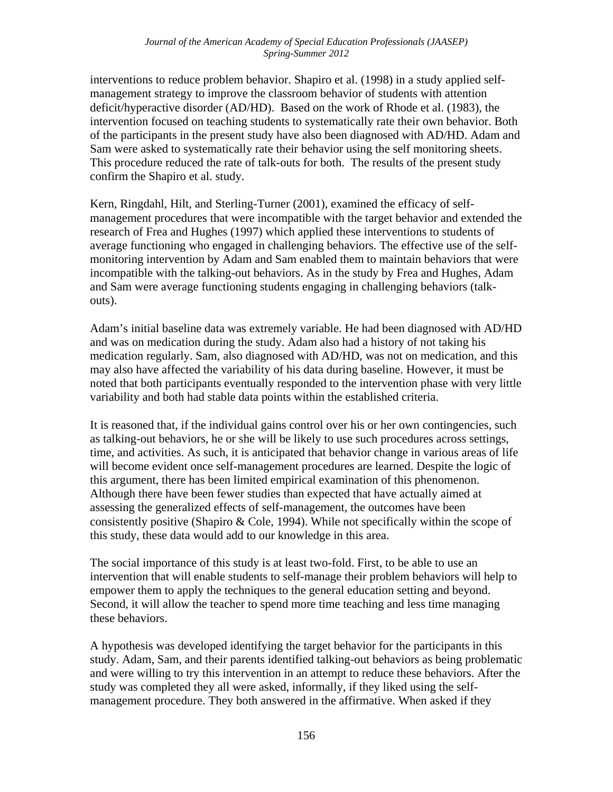interventions to reduce problem behavior. Shapiro et al. (1998) in a study applied selfmanagement strategy to improve the classroom behavior of students with attention deficit/hyperactive disorder (AD/HD). Based on the work of Rhode et al. (1983), the intervention focused on teaching students to systematically rate their own behavior. Both of the participants in the present study have also been diagnosed with AD/HD. Adam and Sam were asked to systematically rate their behavior using the self monitoring sheets. This procedure reduced the rate of talk-outs for both. The results of the present study confirm the Shapiro et al. study.

Kern, Ringdahl, Hilt, and Sterling-Turner (2001), examined the efficacy of selfmanagement procedures that were incompatible with the target behavior and extended the research of Frea and Hughes (1997) which applied these interventions to students of average functioning who engaged in challenging behaviors. The effective use of the selfmonitoring intervention by Adam and Sam enabled them to maintain behaviors that were incompatible with the talking-out behaviors. As in the study by Frea and Hughes, Adam and Sam were average functioning students engaging in challenging behaviors (talkouts).

Adam's initial baseline data was extremely variable. He had been diagnosed with AD/HD and was on medication during the study. Adam also had a history of not taking his medication regularly. Sam, also diagnosed with AD/HD, was not on medication, and this may also have affected the variability of his data during baseline. However, it must be noted that both participants eventually responded to the intervention phase with very little variability and both had stable data points within the established criteria.

It is reasoned that, if the individual gains control over his or her own contingencies, such as talking-out behaviors, he or she will be likely to use such procedures across settings, time, and activities. As such, it is anticipated that behavior change in various areas of life will become evident once self-management procedures are learned. Despite the logic of this argument, there has been limited empirical examination of this phenomenon. Although there have been fewer studies than expected that have actually aimed at assessing the generalized effects of self-management, the outcomes have been consistently positive (Shapiro & Cole, 1994). While not specifically within the scope of this study, these data would add to our knowledge in this area.

The social importance of this study is at least two-fold. First, to be able to use an intervention that will enable students to self-manage their problem behaviors will help to empower them to apply the techniques to the general education setting and beyond. Second, it will allow the teacher to spend more time teaching and less time managing these behaviors.

A hypothesis was developed identifying the target behavior for the participants in this study. Adam, Sam, and their parents identified talking-out behaviors as being problematic and were willing to try this intervention in an attempt to reduce these behaviors. After the study was completed they all were asked, informally, if they liked using the selfmanagement procedure. They both answered in the affirmative. When asked if they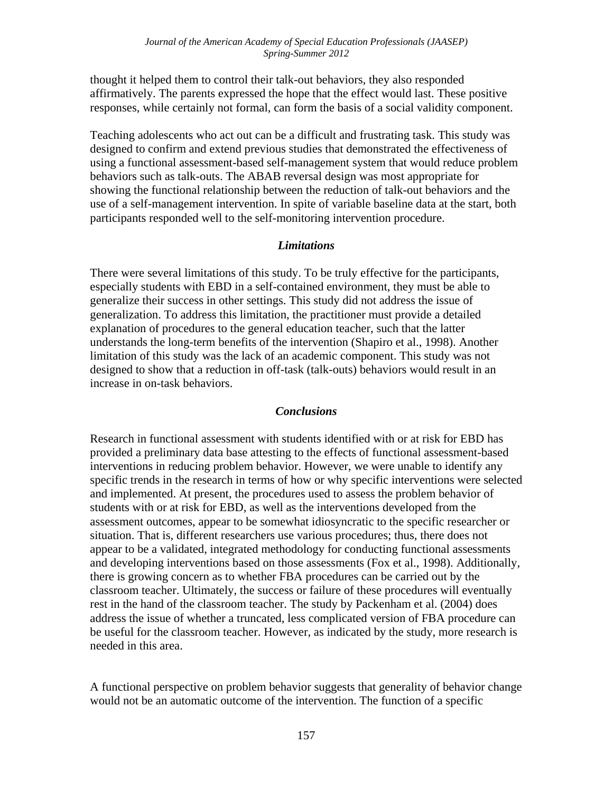thought it helped them to control their talk-out behaviors, they also responded affirmatively. The parents expressed the hope that the effect would last. These positive responses, while certainly not formal, can form the basis of a social validity component.

Teaching adolescents who act out can be a difficult and frustrating task. This study was designed to confirm and extend previous studies that demonstrated the effectiveness of using a functional assessment-based self-management system that would reduce problem behaviors such as talk-outs. The ABAB reversal design was most appropriate for showing the functional relationship between the reduction of talk-out behaviors and the use of a self-management intervention. In spite of variable baseline data at the start, both participants responded well to the self-monitoring intervention procedure.

#### *Limitations*

There were several limitations of this study. To be truly effective for the participants, especially students with EBD in a self-contained environment, they must be able to generalize their success in other settings. This study did not address the issue of generalization. To address this limitation, the practitioner must provide a detailed explanation of procedures to the general education teacher, such that the latter understands the long-term benefits of the intervention (Shapiro et al., 1998). Another limitation of this study was the lack of an academic component. This study was not designed to show that a reduction in off-task (talk-outs) behaviors would result in an increase in on-task behaviors.

#### *Conclusions*

Research in functional assessment with students identified with or at risk for EBD has provided a preliminary data base attesting to the effects of functional assessment-based interventions in reducing problem behavior. However, we were unable to identify any specific trends in the research in terms of how or why specific interventions were selected and implemented. At present, the procedures used to assess the problem behavior of students with or at risk for EBD, as well as the interventions developed from the assessment outcomes, appear to be somewhat idiosyncratic to the specific researcher or situation. That is, different researchers use various procedures; thus, there does not appear to be a validated, integrated methodology for conducting functional assessments and developing interventions based on those assessments (Fox et al., 1998). Additionally, there is growing concern as to whether FBA procedures can be carried out by the classroom teacher. Ultimately, the success or failure of these procedures will eventually rest in the hand of the classroom teacher. The study by Packenham et al. (2004) does address the issue of whether a truncated, less complicated version of FBA procedure can be useful for the classroom teacher. However, as indicated by the study, more research is needed in this area.

A functional perspective on problem behavior suggests that generality of behavior change would not be an automatic outcome of the intervention. The function of a specific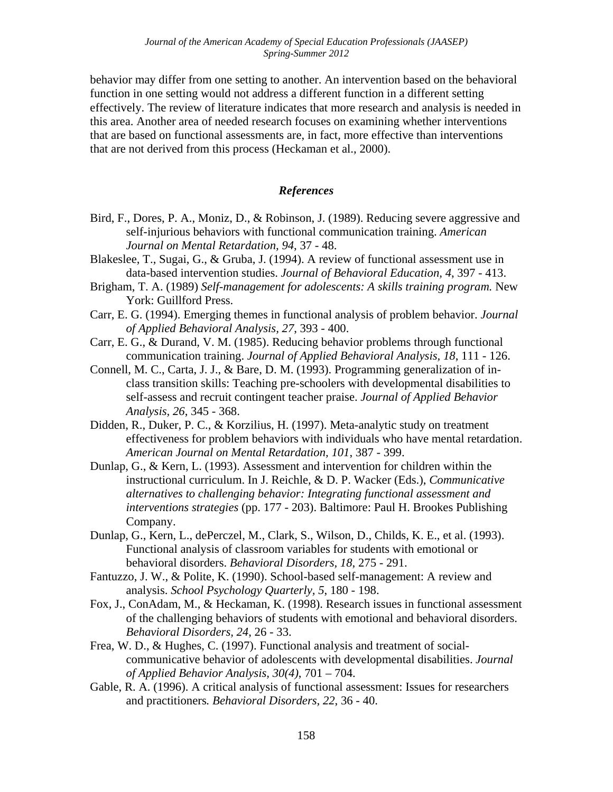behavior may differ from one setting to another. An intervention based on the behavioral function in one setting would not address a different function in a different setting effectively. The review of literature indicates that more research and analysis is needed in this area. Another area of needed research focuses on examining whether interventions that are based on functional assessments are, in fact, more effective than interventions that are not derived from this process (Heckaman et al., 2000).

#### *References*

- Bird, F., Dores, P. A., Moniz, D., & Robinson, J. (1989). Reducing severe aggressive and self-injurious behaviors with functional communication training. *American Journal on Mental Retardation, 94*, 37 - 48.
- Blakeslee, T., Sugai, G., & Gruba, J. (1994). A review of functional assessment use in data-based intervention studies. *Journal of Behavioral Education, 4*, 397 - 413.
- Brigham, T. A. (1989) *Self-management for adolescents: A skills training program.* New York: Guillford Press.
- Carr, E. G. (1994). Emerging themes in functional analysis of problem behavior. *Journal of Applied Behavioral Analysis, 27*, 393 - 400.
- Carr, E. G., & Durand, V. M. (1985). Reducing behavior problems through functional communication training. *Journal of Applied Behavioral Analysis, 18*, 111 - 126.
- Connell, M. C., Carta, J. J., & Bare, D. M. (1993). Programming generalization of inclass transition skills: Teaching pre-schoolers with developmental disabilities to self-assess and recruit contingent teacher praise. *Journal of Applied Behavior Analysis, 26*, 345 - 368.
- Didden, R., Duker, P. C., & Korzilius, H. (1997). Meta-analytic study on treatment effectiveness for problem behaviors with individuals who have mental retardation. *American Journal on Mental Retardation, 101*, 387 - 399.
- Dunlap, G., & Kern, L. (1993). Assessment and intervention for children within the instructional curriculum. In J. Reichle, & D. P. Wacker (Eds.), *Communicative alternatives to challenging behavior: Integrating functional assessment and interventions strategies* (pp. 177 - 203). Baltimore: Paul H. Brookes Publishing Company.
- Dunlap, G., Kern, L., dePerczel, M., Clark, S., Wilson, D., Childs, K. E., et al. (1993). Functional analysis of classroom variables for students with emotional or behavioral disorders. *Behavioral Disorders, 18*, 275 - 291.
- Fantuzzo, J. W., & Polite, K. (1990). School-based self-management: A review and analysis. *School Psychology Quarterly, 5*, 180 - 198.
- Fox, J., ConAdam, M., & Heckaman, K. (1998). Research issues in functional assessment of the challenging behaviors of students with emotional and behavioral disorders. *Behavioral Disorders, 24*, 26 - 33.
- Frea, W. D., & Hughes, C. (1997). Functional analysis and treatment of socialcommunicative behavior of adolescents with developmental disabilities. *Journal of Applied Behavior Analysis, 30(4)*, 701 – 704.
- Gable, R. A. (1996). A critical analysis of functional assessment: Issues for researchers and practitioners*. Behavioral Disorders, 22*, 36 - 40.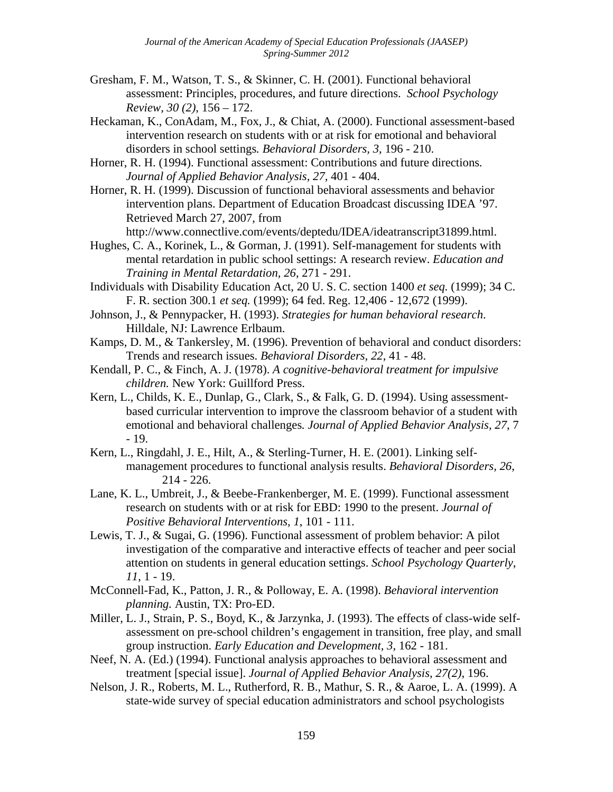- Gresham, F. M., Watson, T. S., & Skinner, C. H. (2001). Functional behavioral assessment: Principles, procedures, and future directions. *School Psychology Review, 30 (2)*, 156 – 172.
- Heckaman, K., ConAdam, M., Fox, J., & Chiat, A. (2000). Functional assessment-based intervention research on students with or at risk for emotional and behavioral disorders in school settings*. Behavioral Disorders, 3*, 196 - 210.
- Horner, R. H. (1994). Functional assessment: Contributions and future directions*. Journal of Applied Behavior Analysis, 27,* 401 - 404.
- Horner, R. H. (1999). Discussion of functional behavioral assessments and behavior intervention plans. Department of Education Broadcast discussing IDEA '97. Retrieved March 27, 2007, from

http://www.connectlive.com/events/deptedu/IDEA/ideatranscript31899.html.

- Hughes, C. A., Korinek, L., & Gorman, J. (1991). Self-management for students with mental retardation in public school settings: A research review. *Education and Training in Mental Retardation, 26*, 271 - 291.
- Individuals with Disability Education Act, 20 U. S. C. section 1400 *et seq.* (1999); 34 C. F. R. section 300.1 *et seq.* (1999); 64 fed. Reg. 12,406 - 12,672 (1999).
- Johnson, J., & Pennypacker, H. (1993). *Strategies for human behavioral research*. Hilldale, NJ: Lawrence Erlbaum.
- Kamps, D. M., & Tankersley, M. (1996). Prevention of behavioral and conduct disorders: Trends and research issues. *Behavioral Disorders, 22*, 41 - 48.
- Kendall, P. C., & Finch, A. J. (1978). *A cognitive-behavioral treatment for impulsive children.* New York: Guillford Press.
- Kern, L., Childs, K. E., Dunlap, G., Clark, S., & Falk, G. D. (1994). Using assessmentbased curricular intervention to improve the classroom behavior of a student with emotional and behavioral challenges*. Journal of Applied Behavior Analysis, 27*, 7 - 19.
- Kern, L., Ringdahl, J. E., Hilt, A., & Sterling-Turner, H. E. (2001). Linking selfmanagement procedures to functional analysis results. *Behavioral Disorders, 26*, 214 - 226.
- Lane, K. L., Umbreit, J., & Beebe-Frankenberger, M. E. (1999). Functional assessment research on students with or at risk for EBD: 1990 to the present. *Journal of Positive Behavioral Interventions, 1*, 101 - 111.
- Lewis, T. J., & Sugai, G. (1996). Functional assessment of problem behavior: A pilot investigation of the comparative and interactive effects of teacher and peer social attention on students in general education settings. *School Psychology Quarterly, 11*, 1 - 19.
- McConnell-Fad, K., Patton, J. R., & Polloway, E. A. (1998). *Behavioral intervention planning.* Austin, TX: Pro-ED.
- Miller, L. J., Strain, P. S., Boyd, K., & Jarzynka, J. (1993). The effects of class-wide selfassessment on pre-school children's engagement in transition, free play, and small group instruction. *Early Education and Development, 3*, 162 - 181.
- Neef, N. A. (Ed.) (1994). Functional analysis approaches to behavioral assessment and treatment [special issue]. *Journal of Applied Behavior Analysis, 27(2)*, 196.
- Nelson, J. R., Roberts, M. L., Rutherford, R. B., Mathur, S. R., & Aaroe, L. A. (1999). A state-wide survey of special education administrators and school psychologists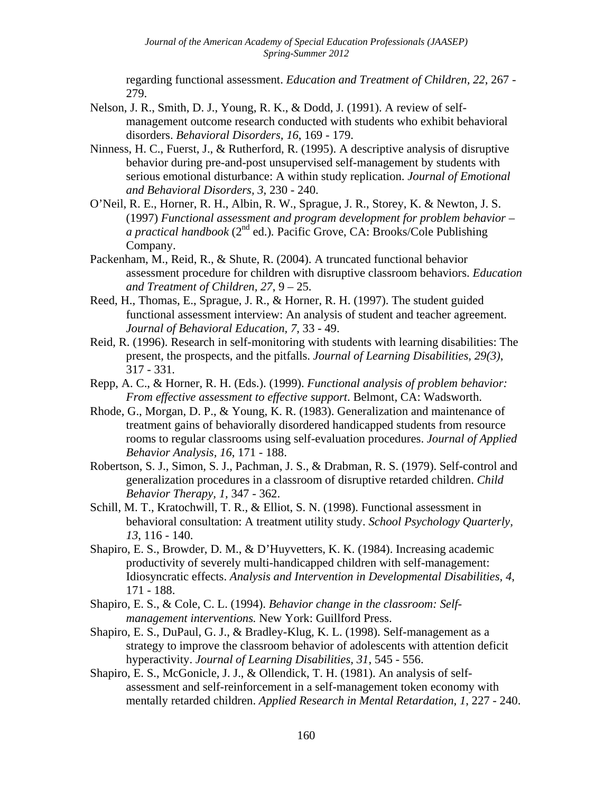regarding functional assessment. *Education and Treatment of Children, 22*, 267 - 279.

- Nelson, J. R., Smith, D. J., Young, R. K., & Dodd, J. (1991). A review of selfmanagement outcome research conducted with students who exhibit behavioral disorders. *Behavioral Disorders, 16*, 169 - 179.
- Ninness, H. C., Fuerst, J., & Rutherford, R. (1995). A descriptive analysis of disruptive behavior during pre-and-post unsupervised self-management by students with serious emotional disturbance: A within study replication. *Journal of Emotional and Behavioral Disorders, 3*, 230 - 240.
- O'Neil, R. E., Horner, R. H., Albin, R. W., Sprague, J. R., Storey, K. & Newton, J. S. (1997) *Functional assessment and program development for problem behavior – a practical handbook* (2nd ed.)*.* Pacific Grove, CA: Brooks/Cole Publishing Company.
- Packenham, M., Reid, R., & Shute, R. (2004). A truncated functional behavior assessment procedure for children with disruptive classroom behaviors. *Education and Treatment of Children, 27*, 9 – 25.
- Reed, H., Thomas, E., Sprague, J. R., & Horner, R. H. (1997). The student guided functional assessment interview: An analysis of student and teacher agreement*. Journal of Behavioral Education, 7*, 33 - 49.
- Reid, R. (1996). Research in self-monitoring with students with learning disabilities: The present, the prospects, and the pitfalls. *Journal of Learning Disabilities, 29(3)*, 317 - 331*.*
- Repp, A. C., & Horner, R. H. (Eds.). (1999). *Functional analysis of problem behavior: From effective assessment to effective support*. Belmont, CA: Wadsworth.
- Rhode, G., Morgan, D. P., & Young, K. R. (1983). Generalization and maintenance of treatment gains of behaviorally disordered handicapped students from resource rooms to regular classrooms using self-evaluation procedures. *Journal of Applied Behavior Analysis, 16*, 171 - 188.
- Robertson, S. J., Simon, S. J., Pachman, J. S., & Drabman, R. S. (1979). Self-control and generalization procedures in a classroom of disruptive retarded children. *Child Behavior Therapy, 1,* 347 - 362.
- Schill, M. T., Kratochwill, T. R., & Elliot, S. N. (1998). Functional assessment in behavioral consultation: A treatment utility study. *School Psychology Quarterly, 13*, 116 - 140.
- Shapiro, E. S., Browder, D. M., & D'Huyvetters, K. K. (1984). Increasing academic productivity of severely multi-handicapped children with self-management: Idiosyncratic effects. *Analysis and Intervention in Developmental Disabilities, 4*, 171 - 188.
- Shapiro, E. S., & Cole, C. L. (1994). *Behavior change in the classroom: Selfmanagement interventions.* New York: Guillford Press.
- Shapiro, E. S., DuPaul, G. J., & Bradley-Klug, K. L. (1998). Self-management as a strategy to improve the classroom behavior of adolescents with attention deficit hyperactivity. *Journal of Learning Disabilities, 31*, 545 - 556.
- Shapiro, E. S., McGonicle, J. J., & Ollendick, T. H. (1981). An analysis of selfassessment and self-reinforcement in a self-management token economy with mentally retarded children. *Applied Research in Mental Retardation, 1*, 227 - 240.